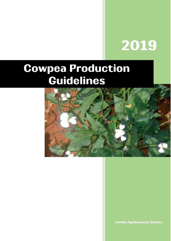# 2019

## **Cowpea Production Guidelines**



**Zambia Agribusiness Society**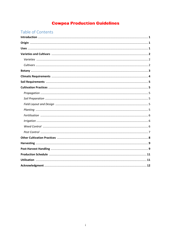## **Cowpea Production Guidelines**

## Table of Contents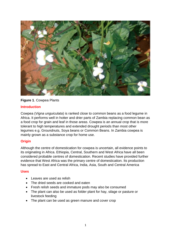

**Figure 1**. Cowpea Plants

#### **Introduction**

Cowpea (*Vigna unguiculata*) is ranked close to common beans as a food legume in Africa. It performs well in hotter and drier parts of Zambia replacing common bean as a food crop for grain and leaf in those areas. Cowpea is an annual crop that is more tolerant to high temperatures and extended drought periods than most other legumes e.g. Groundnuts, Soya beans or Common Beans. In Zambia cowpea is mainly grown as a substance crop for home use.

#### **Origin**

Although the centre of domestication for cowpea is uncertain, all evidence points to its originating in Africa. Ethiopia, Central, Southern and West Africa have all been considered probable centres of domestication. Recent studies have provided further evidence that West Africa was the primary centre of domestication. Its production has spread to East and Central Africa, India, Asia, South and Central America

#### **Uses**

- Leaves are used as relish
- The dried seeds are cooked and eaten
- Fresh relish seeds and immature pods may also be consumed
- The plant can also be used as folder plant for hay, silage or pasture or livestock feeding
- The plant can be used as green manure and cover crop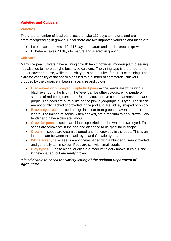#### **Varieties and Cultivars**

#### **Varieties**

There are a number of local varieties, that take 130 days to mature, and are prostrate/spreading in growth. So far there are two improved varieties and these are:

- Lutembwe It takes 110 -115 days to mature and semi erect in growth
- Bubebe Takes 70 days to mature and is erect in growth.

#### **Cultivars**

Many cowpea cultivars have a vining growth habit, however, modern plant breeding has also led to more upright, bush-type cultivars. The vining type is preferred for forage or cover crop use, while the bush type is better suited for direct combining. The extreme variability of the species has led to a number of commercial cultivars grouped by the variance in bean shape, size and colour.

- **Black-eyed or pink-eyed/purple hull peas** the seeds are white with a black eye round the hilum. The "eye" can be other colours: pink, purple or shades of red being common. Upon drying, the eye colour darkens to a dark purple. The pods are purple-like on the pink-eyed/purple hull type. The seeds are not tightly packed or crowded in the pod and are kidney-shaped or oblong.
- **Brown-eyed peas** pods range in colour from green to lavender and in length. The immature seeds, when cooked, are a medium to dark brown, very tender and have a delicate flavour.
- **Crowder peas** seeds are black, speckled, and brown or brown-eyed. The seeds are "crowded" in the pod and also tend to be globular in shape.
- **Cream** seeds are cream coloured and not crowded in the pods. This is an intermediate between the black-eyed and Crowder types.
- **White acre type** seeds are kidney-shaped with a blunt end, semi-crowded and generally tan in colour. Pods are stiff with small seeds.
- **Clay types** these older varieties are medium to dark brown in colour and kidney-shaped, but are rarely grown.

#### *It is advisable to check the variety listing of the national Department of Agriculture.*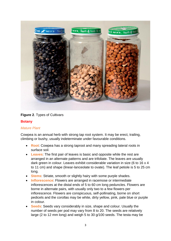

**Figure 2**. Types of Cultivars

#### **Botany**

#### *Mature Plant*

Cowpea is an annual herb with strong tap root system. It may be erect, trailing, climbing or bushy, usually indeterminate under favourable conditions.

- **Root**: Cowpea has a strong taproot and many spreading lateral roots in surface soil.
- **Leaves**: The first pair of leaves is basic and opposite while the rest are arranged in an alternate patterns and are trifoliate. The leaves are usually dark green in colour. Leaves exhibit considerable variation in size (6 to 16 x 4 to 11 cm) and shape (linear-lanceolate to ovate). The leaf petiole is 5 to 25 cm long.
- **Stems**: Striate, smooth or slightly hairy with some purple shades.
- **Inflorescence**: Flowers are arranged in racemose or intermediate inflorescences at the distal ends of 5 to 60 cm long peduncles. Flowers are borne in alternate pairs, with usually only two to a few flowers per inflorescence. Flowers are conspicuous, self-pollinating, borne on short pedicels and the corollas may be white, dirty yellow, pink, pale blue or purple in colour.
- **Seeds**: Seeds vary considerably in size, shape and colour. Usually the number of seeds per pod may vary from 8 to 20. The seeds are relatively large (2 to 12 mm long) and weigh 5 to 30 g/100 seeds. The testa may be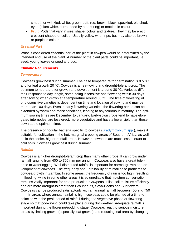smooth or wrinkled; white, green, buff, red, brown, black, speckled, blotched, eyed (hilum white, surrounded by a dark ring) or mottled in colour.

**Fruit:** Pods that vary in size, shape, colour and texture. They may be erect, crescent-shaped or coiled. Usually yellow when ripe, but may also be brown or purple in colour.

#### *Essential Part*

What is considered essential part of the plant in cowpea would be determined by the intended end use of the plant. A number of the plant parts could be important, i.e. seed, young leaves or seed and pod.

#### **Climatic Requirements**

#### *Temperature*

Cowpeas grow best during summer. The base temperature for germination is 8.5 °C and for leaf growth 20 °C. Cowpea is a heat-loving and drought-tolerant crop. The optimum temperature for growth and development is around 30 °C. Varieties differ in their response to day length, some being insensitive and flowering within 30 days after sowing when grown at a temperature around 30 °C. The time of flowering of photosensitive varieties is dependent on time and location of sowing and may be more than 100 days. Even in early flowering varieties, the flowering period can be extended by warm and moist conditions, leading to asynchronous maturity. The optimum sowing times are December to January. Early-sown crops tend to have elongated internodes, are less erect, more vegetative and have a lower yield than those sown at the optimum time.

The presence of nodular bacteria specific to cowpea [\(Bradyrhizobium spp.](https://en.wikipedia.org/wiki/Bradyrhizobium)), make it suitable for cultivation in the hot, marginal cropping areas of Southern Africa, as well as in the cooler, higher rainfall areas. However, cowpeas are much less tolerant to cold soils. Cowpeas grow best during summer.

#### *Rainfall*

Cowpea is a higher drought-tolerant crop than many other crops. It can grow under rainfall ranging from 400 to 700 mm per annum. Cowpeas also have a great tolerance to waterlogging. Well-distributed rainfall is important for normal growth and development of cowpeas. The frequency and unreliability of rainfall pose problems to cowpea growth in Zambia. In some areas, the frequency of rain is too high, resulting in flooding, while in some other areas it is so unreliable that moisture conservation remains vitally important for crop production. Cowpeas utilise soil moisture efficiently and are more drought-tolerant than Groundnuts, Soya-Beans and Sunflowers. Cowpeas can be produced satisfactorily with an annual rainfall between 400 and 750 mm. In areas where annual rainfall is high, cowpeas could be planted at a time to coincide with the peak period of rainfall during the vegetative phase or flowering stage so that pod-drying could take place during dry weather. Adequate rainfall is important during the flowering/podding stage. Cowpeas react to serious moisture stress by limiting growth (especially leaf growth) and reducing leaf area by changing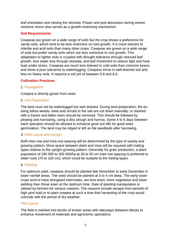leaf orientation and closing the stomata. Flower and pod abscission during severe moisture stress also serves as a growth-restricting mechanism.

#### **Soil Requirements**

Cowpeas are grown on a wide range of soils but the crop shows a preference for sandy soils, which tend to be less restrictive on root growth. It is more tolerant to infertile and acid soils than many other crops. Cowpeas are grown on a wide range of soils but prefer sandy soils which are less restrictive to root growth. This adaptation to lighter soils is coupled with drought tolerance through reduced leaf growth, less water loss through stomata, and leaf movement to reduce light and heat load under stress. Cowpeas are much less tolerant to cold soils than common beans and show a poor tolerance to waterlogging. Cowpeas thrive in well-drained soil and less on heavy soils. It requires a soil pH of between 5.6 and 6.0.

#### **Cultivation Practices**

#### *1. Propagation*

Cowpea is directly grown from seed.

#### *2. Soil Preparation*

The land must not be waterlogged but well drained. During land preparation, the existing fallow weeds, trees and shrubs in the site are cut down manually, or slashed with a tractor and fallen trees should be removed. This should be followed by plowing and harrowing, using a disc plough and harrow. Some 4 to 6 days between each operation should be allowed to enhance good soil tilth for good seed germination. The land may be ridged or left as flat seedbeds after harrowing.

#### *3. Field Layout and Design*

Both inter-row and intra-row spacing will be determined by the type of variety and growing pattern. More space between plant and rows will be required with trailing types relative to the upright growing pattern. Generally for grain production, a plant population of 200 000 to 300 000/ha at 30 to 50 cm inter-row spacing is preferred to wider rows (70 to 100 cm), which could be suitable to the trailing types.

#### *4. Planting*

For optimum yield, cowpeas should be planted late November to early December in lower rainfall areas. The seed should be planted at 3 to 4 cm deep. The early-sown crops tend to have elongated internodes, are less erect, more vegetative and lower yielding than those sown at the optimum time. Date of planting manipulation is utilised by farmers for various reasons. The reasons include escape from periods of high pest load or to plant cowpea at such a time that harvesting of the crop would coincide with the period of dry weather.

#### *Plot Layout*

The field is marked into blocks of known areas with alleyways between blocks to enhance movement of materials and agronomic operations.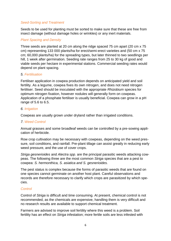#### *Seed-Sorting and Treatment*

Seeds to be used for planting must be sorted to make sure that these are free from insect damage (without damage holes or wrinkles) or any inert materials.

#### *Plant Spacing and Density*

Three seeds are planted at 20 cm along the ridge spaced 75 cm apart (20 cm x 75 cm) representing 133 000 plants/ha for erect/semi-erect varieties and (50 cm x 75 cm; 60,000 plants/ha) for the spreading types, but later thinned to two seedlings per hill, 1 week after germination. Seeding rate ranges from 25 to 30 kg of good and viable seeds per hectare in experimental stations. Commercial seeding rates would depend on plant spacing.

#### *5. Fertilisation*

Fertiliser application in cowpea production depends on anticipated yield and soil fertility. As a legume, cowpea fixes its own nitrogen, and does not need nitrogen fertiliser. Seed should be inoculated with the appropriate *Rhizobium* species for optimum nitrogen fixation, however nodules will generally form on cowpeas. Application of a phosphate fertiliser is usually beneficial. Cowpea can grow in a pH range of 5.6 to 6.5.

#### *6. Irrigation*

Cowpeas are usually grown under dryland rather than irrigated conditions.

#### *7. Weed Control*

Annual grasses and some broadleaf weeds can be controlled by a pre-sowing application of herbicide.

Row crop cultivation may be necessary with cowpeas, depending on the weed pressure, soil conditions, and rainfall. Pre-plant tillage can assist greatly in reducing early weed pressure, and the use of cover crops.

*Striga gesnerioides* and *Alectra spp.* are the principal parasitic weeds attacking cowpeas. The following three are the most common *Striga* species that are a pest to cowpea: *S. hermonthica, S. asiatica and S. gesnerioides.*

The pest status is complex because the forms of parasitic weeds that are found on one species cannot germinate on another host plant. Careful observations and records are therefore necessary to clarify which crops are parasitized by which species.

#### *Control*

Control of *Striga* is difficult and time consuming. At present, chemical control is not recommended, as the chemicals are expensive, handling them is very difficult and no research results are available to support chemical treatment.

Farmers are advised to improve soil fertility where this weed is a problem. Soil fertility has an effect on *Striga* infestation; more fertile soils are less infested with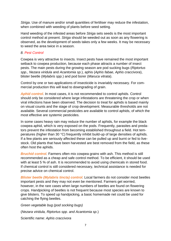*Striga*. Use of manure and/or small quantities of fertiliser may reduce the infestation, when combined with weeding of plants before seed setting.

Hand weeding of the infested areas before *Striga* sets seeds is the most important control method at present. *Striga* should be weeded out as soon as any flowering is observed, as the development of seeds takes only a few weeks. It may be necessary to weed the area twice in a season.

#### *8. Pest Control*

Cowpea is very attractive to insects. Insect pests have remained the most important setback to cowpea production, because each phase attracts a number of insect pests. The main pests during the growing season are pod sucking bugs (*Riptortus spp., Nezara viridula* and *Acantomia sp.*), aphis (*Aphis fabae, Aphis craccivora*), blister beetle (*Mylabris spp.*) and pod borer (*Maruca vitrata*).

Control by one or two applications of insecticide is invariably necessary. For commercial production this will lead to downgrading of grain.

*Aphid control*. In most cases, it is not recommended to control aphids. Control should only be considered where large infestations are threatening the crop or when viral infections have been observed. The decision to treat for aphids is based mainly on visual counts and the stage of crop development. Measurable thresholds are not available. Several commercial pesticides are available to control aphids, of which the most effective are systemic pesticides.

In some cases heavy rain may reduce the number of aphids, for example the black cowpea aphid, which is very exposed on the pods. Frequently, parasites and predators prevent the infestation from becoming established throughout a field. Hot temperatures (higher than 30 °C) frequently inhibit build-up of large densities of aphids. If a few plants are seriously affected these can be pulled up and burnt or fed to livestock. Old plants that have been harvested are best removed from the field, as these often host the aphids.

*Bruchid control.* Farmers often mix cowpea grains with ash. This method is still recommended as a cheap and safe control method. To be efficient, it should be used with at least 5 % of ash. It is recommended to avoid using chemicals in stored food. If chemical control is still considered necessary, technical assistance is needed for precise advice on chemical control.

*Blister beetle (Mylabris tincta) control.* Local farmers do not consider most beetles important pests and they may not even be mentioned. Farmers get worried, however, in the rare cases when large numbers of beetles are found on flowering crops. Handpicking of beetles is not frequent because most species are known to give blisters. To speed up handpicking, a basic homemade net could be used for catching the flying beetles.

*Green vegetable bug (pod socking bugs)* (*Nezara viridula, Riptortus spp. and Acantomia sp*.) Scientific name: *Aphis craccivora*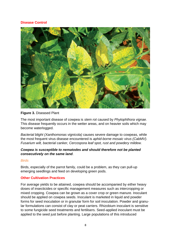#### **Disease Control**



#### **Figure 3.** Diseased Plant

The most important disease of cowpea is *stem rot* caused by *Phytophthora vignae.*  This disease frequently occurs in the wetter areas, and on heavier soils which may become waterlogged.

*Bacterial blight (Xanthomonas vignicola)* causes severe damage to cowpeas, while the most frequent virus disease encountered is *aphid-borne mosaic virus (CabMV). Fusarium wilt, bacterial canker, Cercospora leaf spot, rust and powdery mildew.* 

#### *Cowpea is susceptible to nematodes and should therefore not be planted consecutively on the same land*.

#### *Birds*

Birds, especially of the parrot family, could be a problem, as they can pull-up emerging seedlings and feed on developing green pods.

#### **Other Cultivation Practices**

For average yields to be attained, cowpea should be accompanied by either heavy doses of insecticides or specific management measures such as intercropping or mixed cropping. Cowpea can be grown as a cover crop or green manure. Inoculant should be applied on cowpea seeds. Inoculant is marketed in liquid and powder forms for seed inoculation or in granular form for soil inoculation. Powder and granular formulations can consist of clay or peat carriers. Rhizobium inoculant is sensitive to some fungicide seed treatments and fertilisers. Seed-applied inoculant must be applied to the seed just before planting. Large populations of this introduced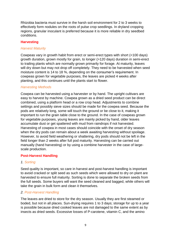Rhizobia bacteria must survive in the harsh soil environment for 2 to 3 weeks to effectively form nodules on the roots of pulse crop seedlings. In dryland cropping regions, granular inoculant is preferred because it is more reliable in dry seedbed conditions.

#### **Harvesting**

#### *Harvest Maturity*

Cowpeas vary in growth habit from erect or semi-erect types with short (<100 days) growth duration, grown mostly for grain, to longer (>120 days) duration in semi-erect to trailing plants which are normally grown primarily for forage. At maturity, leaves will dry down but may not drop off completely. They need to be harvested when seed moisture content is 14 to 18 %, depending on the consumer's requirement. In cowpeas grown for vegetable purposes, the leaves are picked 4 weeks after planting, and this continues until the plants start to flower.

#### *Harvesting Methods*

Cowpea can be harvested using a harvester or by hand. The upright cultivars are easy to harvest by machine. Cowpea grown as a dried seed product can be direct combined, using a platform head or a row crop head. Adjustments to combine settings and possibly sieve sizes should be made for the cowpea seed. Because the pods are relatively long, some will touch the ground or be close to it, making it important to run the grain table close to the ground. In the case of cowpeas grown for vegetable purposes, young leaves are mainly picked by hand, older leaves accumulate dust or get spattered with mud from raindrops if not harvested. Harvesting of cowpea in most cases should coincide with the onset of dry season when the dry pods can remain about a week awaiting harvesting without spoilage. However, to avoid field weathering or shattering, dry pods should not be left in the field longer than 2 weeks after full pod maturity. Harvesting can be carried out manually (hand harvesting) or by using a combine harvester in the case of largescale production.

#### **Post-Harvest Handling**

#### *1. Sorting*

Seed quality is important, so care in harvest and post-harvest handling is important to avoid cracked or split seed as such seeds which were allowed to dry on plant are harvested to ensure full maturity. Sorting is done to separate the broken seeds from the full seeds. Some buyers will want the seed cleaned and bagged, while others will take the grain in bulk form and clean it themselves.

#### *2. Post-Harvest Handling*

The leaves are dried to store for the dry season. Usually they are first steamed or boded, but not in all places. Sun-drying requires 1 to 3 days; storage for up to a year is possible because dried cooked leaves are not damaged to the same extent as by insects as dried seeds. Excessive losses of P-carotene, vitamin C, and the amino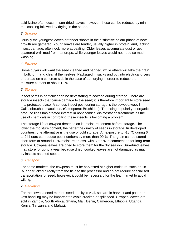acid lysine often occur in sun-dried leaves, however, these can be reduced by minimal cooking followed by drying in the shade.

#### *3. Grading*

Usually the youngest leaves or tender shoots in the distinctive colour phase of new growth are gathered. Young leaves are tender, usually higher in protein, and, lacking insect damage, often look more appealing. Older leaves accumulate dust or get spattered with mud from raindrops, while younger leaves would not need so much washing.

#### *4. Packing*

Some buyers will want the seed cleaned and bagged, while others will take the grain in bulk form and clean it themselves. Packaged in sacks and put into electrical dryers or spread on a concrete slab in the case of sun drying in order to reduce the moisture content to about 12 %.

#### *5. Storage*

Insect pests in particular can be devastating to cowpea during storage. There are storage insects that cause damage to the seed; it is therefore important to store seed in a protected place. A serious insect pest during storage is the cowpea weevil Callosobruchus maculatus, (Coleoptera: Bruchidae). The rising popularity of organic produce lines has created interest in nonchemical disinfestation treatments as the use of chemicals in controlling these insects is becoming a problem.

The storage life of cowpea depends on its moisture content before storage. The lower the moisture content, the better the quality of seeds in storage. In developed countries; one alternative is the use of cold storage. An exposure to -18 °C during 6 to 24 hours can reduce pest numbers by more than 99 %. The grain can be stored short term at around 12 % moisture or less, with 8 to 9% recommended for long-term storage. Cowpea leaves are dried to store them for the dry season. Sun-dried leaves may store for up to a year because dried, cooked leaves are not damaged as much by insects as dried seeds.

#### *6. Transport*

For some markets, the cowpeas must be harvested at higher moisture, such as 18 %, and trucked directly from the field to the processor and do not require specialised transportation for seed, however, it could be necessary for the leaf market to avoid wilting.

#### *7. Marketing*

For the cowpea seed market, seed quality is vital, so care in harvest and post-harvest handling may be important to avoid cracked or split seed. Cowpea leaves are sold in Zambia, South Africa, Ghana, Mali, Benin, Cameroon, Ethiopia, Uganda, Kenya, Tanzania and Malawi.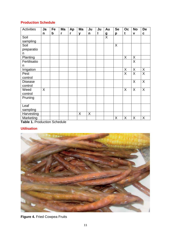#### **Production Schedule**

| <b>Activities</b> | Ja | Fe | Ma | Ap | Ma | Ju | Ju | Au             | <b>Se</b> | Oc | <b>No</b> | <b>De</b>    |
|-------------------|----|----|----|----|----|----|----|----------------|-----------|----|-----------|--------------|
|                   | n  | b  | r  | r  | y  | n  | I  | $\mathbf g$    | p         | t  | V         | C            |
| Soil              |    |    |    |    |    |    |    | $\overline{X}$ |           |    |           |              |
| sampling          |    |    |    |    |    |    |    |                |           |    |           |              |
| Soil              |    |    |    |    |    |    |    |                | X         |    |           |              |
| preparatio        |    |    |    |    |    |    |    |                |           |    |           |              |
| n                 |    |    |    |    |    |    |    |                |           |    |           |              |
| Planting          |    |    |    |    |    |    |    |                |           | X  | X         |              |
| Fertilisatio      |    |    |    |    |    |    |    |                |           |    | X         |              |
| n                 |    |    |    |    |    |    |    |                |           |    |           |              |
| Irrigation        |    |    |    |    |    |    |    |                |           | X  | X         | X            |
| Pest              |    |    |    |    |    |    |    |                |           | X  | X         | $\mathsf{X}$ |
| control           |    |    |    |    |    |    |    |                |           |    |           |              |
| <b>Disease</b>    |    |    |    |    |    |    |    |                |           |    | X         | X            |
| control           |    |    |    |    |    |    |    |                |           |    |           |              |
| Weed              | X  |    |    |    |    |    |    |                |           | X  | X         | X            |
| control           |    |    |    |    |    |    |    |                |           |    |           |              |
| Pruning           |    |    |    |    |    |    |    |                |           |    |           |              |
|                   |    |    |    |    |    |    |    |                |           |    |           |              |
| Leaf              |    |    |    |    |    |    |    |                |           |    |           |              |
| sampling          |    |    |    |    |    |    |    |                |           |    |           |              |
| Harvesting        |    |    |    |    | X  | X  |    |                |           |    |           |              |
| <b>Marketing</b>  |    |    |    |    |    |    |    |                | X         | X  | X         | X            |

**Table 1.** Production Schedule

#### **Utilisation**



**Figure 4.** Fried Cowpea Fruits